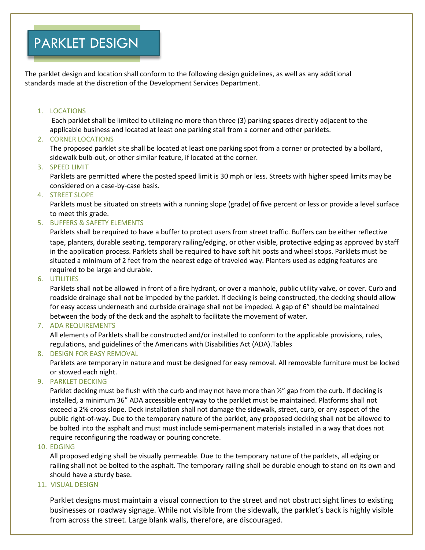## PARKLET DESIGN

The parklet design and location shall conform to the following design guidelines, as well as any additional standards made at the discretion of the Development Services Department.

#### 1. LOCATIONS

Each parklet shall be limited to utilizing no more than three (3) parking spaces directly adjacent to the applicable business and located at least one parking stall from a corner and other parklets.

## 2. CORNER LOCATIONS

The proposed parklet site shall be located at least one parking spot from a corner or protected by a bollard, sidewalk bulb-out, or other similar feature, if located at the corner.

## 3. SPEED LIMIT

Parklets are permitted where the posted speed limit is 30 mph or less. Streets with higher speed limits may be considered on a case-by-case basis.

## 4. STREET SLOPE

Parklets must be situated on streets with a running slope (grade) of five percent or less or provide a level surface to meet this grade.

#### 5. BUFFERS & SAFETY ELEMENTS

Parklets shall be required to have a buffer to protect users from street traffic. Buffers can be either reflective tape, planters, durable seating, temporary railing/edging, or other visible, protective edging as approved by staff in the application process. Parklets shall be required to have soft hit posts and wheel stops. Parklets must be situated a minimum of 2 feet from the nearest edge of traveled way. Planters used as edging features are required to be large and durable.

#### 6. UTILITIES

Parklets shall not be allowed in front of a fire hydrant, or over a manhole, public utility valve, or cover. Curb and roadside drainage shall not be impeded by the parklet. If decking is being constructed, the decking should allow for easy access underneath and curbside drainage shall not be impeded. A gap of 6" should be maintained between the body of the deck and the asphalt to facilitate the movement of water.

#### 7. ADA REQUIREMENTS

All elements of Parklets shall be constructed and/or installed to conform to the applicable provisions, rules, regulations, and guidelines of the Americans with Disabilities Act (ADA).Tables

## 8. DESIGN FOR EASY REMOVAL

Parklets are temporary in nature and must be designed for easy removal. All removable furniture must be locked or stowed each night.

## 9. PARKLET DECKING

Parklet decking must be flush with the curb and may not have more than  $\frac{y}{2}$  gap from the curb. If decking is installed, a minimum 36" ADA accessible entryway to the parklet must be maintained. Platforms shall not exceed a 2% cross slope. Deck installation shall not damage the sidewalk, street, curb, or any aspect of the public right-of-way. Due to the temporary nature of the parklet, any proposed decking shall not be allowed to be bolted into the asphalt and must must include semi-permanent materials installed in a way that does not require reconfiguring the roadway or pouring concrete.

#### 10. EDGING

All proposed edging shall be visually permeable. Due to the temporary nature of the parklets, all edging or railing shall not be bolted to the asphalt. The temporary railing shall be durable enough to stand on its own and should have a sturdy base.

#### 11. VISUAL DESIGN

Parklet designs must maintain a visual connection to the street and not obstruct sight lines to existing businesses or roadway signage. While not visible from the sidewalk, the parklet's back is highly visible from across the street. Large blank walls, therefore, are discouraged.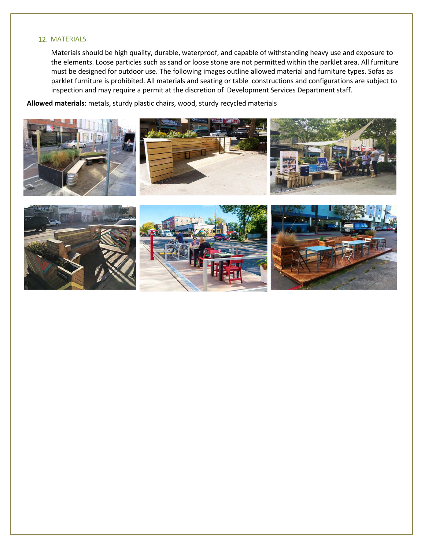#### 12. MATERIALS

Materials should be high quality, durable, waterproof, and capable of withstanding heavy use and exposure to the elements. Loose particles such as sand or loose stone are not permitted within the parklet area. All furniture must be designed for outdoor use. The following images outline allowed material and furniture types. Sofas as parklet furniture is prohibited. All materials and seating or table constructions and configurations are subject to inspection and may require a permit at the discretion of Development Services Department staff.

**Allowed materials**: metals, sturdy plastic chairs, wood, sturdy recycled materials

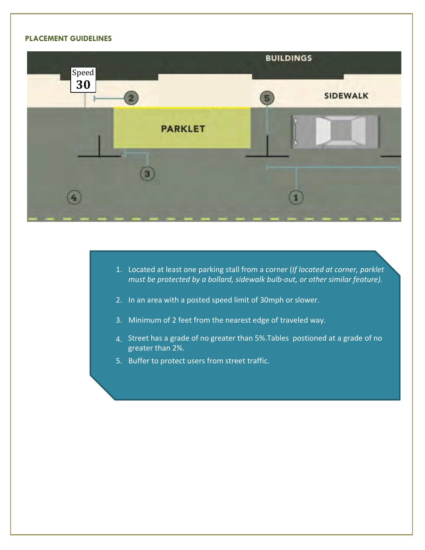## **PLACEMENT GUIDELINES**



- 1. Located at least one parking stall from a corner (*If located at corner, parklet must be protected by a bollard, sidewalk bulb-out, or other similar feature).*
- 2. In an area with a posted speed limit of 30mph or slower.
- 3. Minimum of 2 feet from the nearest edge of traveled way.
- 4. Street has a grade of no greater than 5%.Tables postioned at a grade of no greater than 2%.
- 5. Buffer to protect users from street traffic.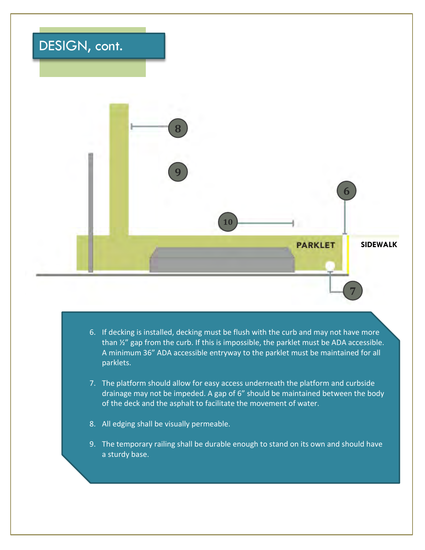## DESIGN, cont.



- 6. If decking is installed, decking must be flush with the curb and may not have more than ½" gap from the curb. If this is impossible, the parklet must be ADA accessible. A minimum 36" ADA accessible entryway to the parklet must be maintained for all parklets.
- 7. The platform should allow for easy access underneath the platform and curbside drainage may not be impeded. A gap of 6" should be maintained between the body of the deck and the asphalt to facilitate the movement of water.
- 8. All edging shall be visually permeable.
- 9. The temporary railing shall be durable enough to stand on its own and should have a sturdy base.